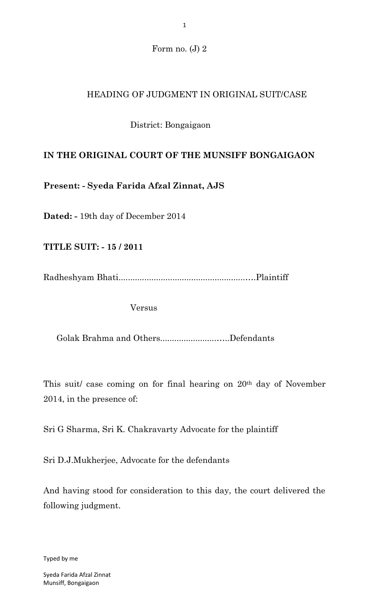Form no. (J) 2

# HEADING OF JUDGMENT IN ORIGINAL SUIT/CASE

# District: Bongaigaon

## **IN THE ORIGINAL COURT OF THE MUNSIFF BONGAIGAON**

**Present: - Syeda Farida Afzal Zinnat, AJS**

**Dated: -** 19th day of December 2014

**TITLE SUIT: - 15 / 2011**

Radheshyam Bhati......................................................….Plaintiff

Versus

Golak Brahma and Others........................…..Defendants

This suit/ case coming on for final hearing on 20th day of November 2014, in the presence of:

Sri G Sharma, Sri K. Chakravarty Advocate for the plaintiff

Sri D.J.Mukherjee, Advocate for the defendants

And having stood for consideration to this day, the court delivered the following judgment.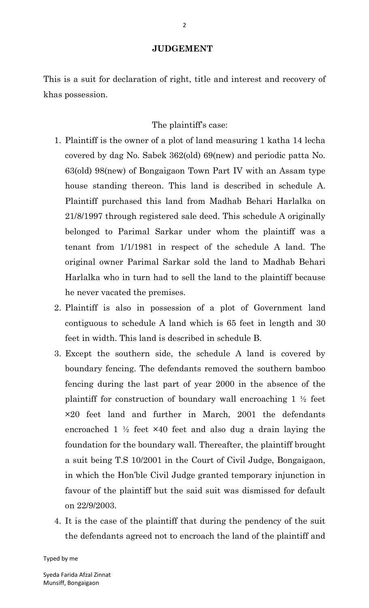#### **JUDGEMENT**

This is a suit for declaration of right, title and interest and recovery of khas possession.

### The plaintiff's case:

- 1. Plaintiff is the owner of a plot of land measuring 1 katha 14 lecha covered by dag No. Sabek 362(old) 69(new) and periodic patta No. 63(old) 98(new) of Bongaigaon Town Part IV with an Assam type house standing thereon. This land is described in schedule A. Plaintiff purchased this land from Madhab Behari Harlalka on 21/8/1997 through registered sale deed. This schedule A originally belonged to Parimal Sarkar under whom the plaintiff was a tenant from 1/1/1981 in respect of the schedule A land. The original owner Parimal Sarkar sold the land to Madhab Behari Harlalka who in turn had to sell the land to the plaintiff because he never vacated the premises.
- 2. Plaintiff is also in possession of a plot of Government land contiguous to schedule A land which is 65 feet in length and 30 feet in width. This land is described in schedule B.
- 3. Except the southern side, the schedule A land is covered by boundary fencing. The defendants removed the southern bamboo fencing during the last part of year 2000 in the absence of the plaintiff for construction of boundary wall encroaching 1 ½ feet ×20 feet land and further in March, 2001 the defendants encroached  $1 \frac{1}{2}$  feet  $\times 40$  feet and also dug a drain laying the foundation for the boundary wall. Thereafter, the plaintiff brought a suit being T.S 10/2001 in the Court of Civil Judge, Bongaigaon, in which the Hon'ble Civil Judge granted temporary injunction in favour of the plaintiff but the said suit was dismissed for default on 22/9/2003.
- 4. It is the case of the plaintiff that during the pendency of the suit the defendants agreed not to encroach the land of the plaintiff and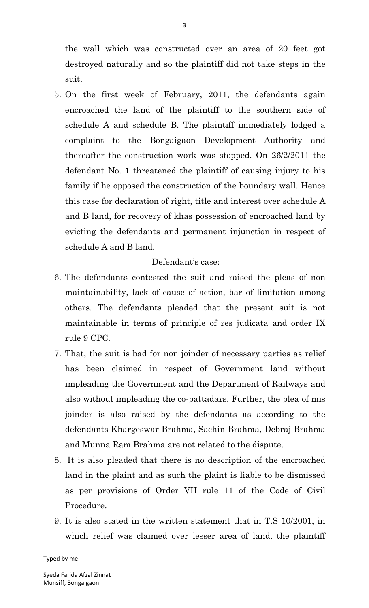the wall which was constructed over an area of 20 feet got destroyed naturally and so the plaintiff did not take steps in the suit.

5. On the first week of February, 2011, the defendants again encroached the land of the plaintiff to the southern side of schedule A and schedule B. The plaintiff immediately lodged a complaint to the Bongaigaon Development Authority and thereafter the construction work was stopped. On 26/2/2011 the defendant No. 1 threatened the plaintiff of causing injury to his family if he opposed the construction of the boundary wall. Hence this case for declaration of right, title and interest over schedule A and B land, for recovery of khas possession of encroached land by evicting the defendants and permanent injunction in respect of schedule A and B land.

## Defendant's case:

- 6. The defendants contested the suit and raised the pleas of non maintainability, lack of cause of action, bar of limitation among others. The defendants pleaded that the present suit is not maintainable in terms of principle of res judicata and order IX rule 9 CPC.
- 7. That, the suit is bad for non joinder of necessary parties as relief has been claimed in respect of Government land without impleading the Government and the Department of Railways and also without impleading the co-pattadars. Further, the plea of mis joinder is also raised by the defendants as according to the defendants Khargeswar Brahma, Sachin Brahma, Debraj Brahma and Munna Ram Brahma are not related to the dispute.
- 8. It is also pleaded that there is no description of the encroached land in the plaint and as such the plaint is liable to be dismissed as per provisions of Order VII rule 11 of the Code of Civil Procedure.
- 9. It is also stated in the written statement that in T.S 10/2001, in which relief was claimed over lesser area of land, the plaintiff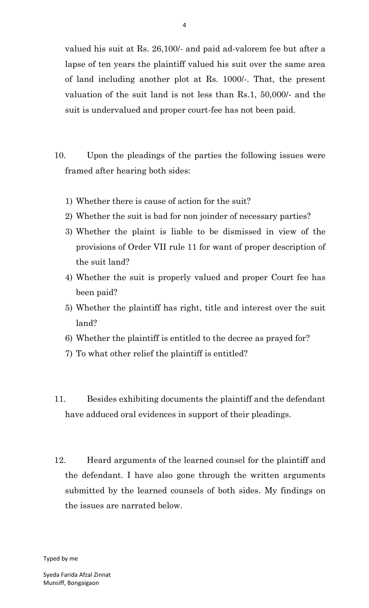valued his suit at Rs. 26,100/- and paid ad-valorem fee but after a lapse of ten years the plaintiff valued his suit over the same area of land including another plot at Rs. 1000/-. That, the present valuation of the suit land is not less than Rs.1, 50,000/- and the suit is undervalued and proper court-fee has not been paid.

- 10. Upon the pleadings of the parties the following issues were framed after hearing both sides:
	- 1) Whether there is cause of action for the suit?
	- 2) Whether the suit is bad for non joinder of necessary parties?
	- 3) Whether the plaint is liable to be dismissed in view of the provisions of Order VII rule 11 for want of proper description of the suit land?
	- 4) Whether the suit is properly valued and proper Court fee has been paid?
	- 5) Whether the plaintiff has right, title and interest over the suit land?
	- 6) Whether the plaintiff is entitled to the decree as prayed for?
	- 7) To what other relief the plaintiff is entitled?
- 11. Besides exhibiting documents the plaintiff and the defendant have adduced oral evidences in support of their pleadings.
- 12. Heard arguments of the learned counsel for the plaintiff and the defendant. I have also gone through the written arguments submitted by the learned counsels of both sides. My findings on the issues are narrated below.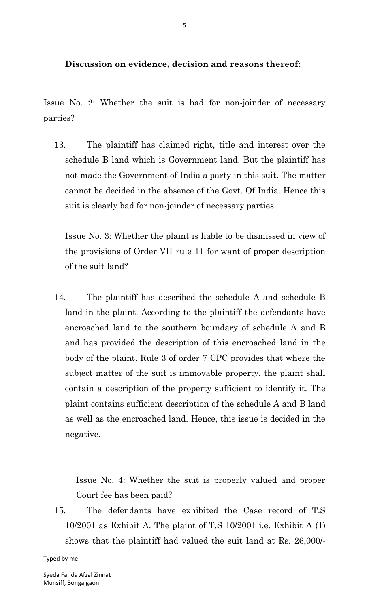**Discussion on evidence, decision and reasons thereof:**

Issue No. 2: Whether the suit is bad for non-joinder of necessary parties?

13. The plaintiff has claimed right, title and interest over the schedule B land which is Government land. But the plaintiff has not made the Government of India a party in this suit. The matter cannot be decided in the absence of the Govt. Of India. Hence this suit is clearly bad for non-joinder of necessary parties.

Issue No. 3: Whether the plaint is liable to be dismissed in view of the provisions of Order VII rule 11 for want of proper description of the suit land?

14. The plaintiff has described the schedule A and schedule B land in the plaint. According to the plaintiff the defendants have encroached land to the southern boundary of schedule A and B and has provided the description of this encroached land in the body of the plaint. Rule 3 of order 7 CPC provides that where the subject matter of the suit is immovable property, the plaint shall contain a description of the property sufficient to identify it. The plaint contains sufficient description of the schedule A and B land as well as the encroached land. Hence, this issue is decided in the negative.

Issue No. 4: Whether the suit is properly valued and proper Court fee has been paid?

15. The defendants have exhibited the Case record of T.S 10/2001 as Exhibit A. The plaint of T.S 10/2001 i.e. Exhibit A (1) shows that the plaintiff had valued the suit land at Rs. 26,000/-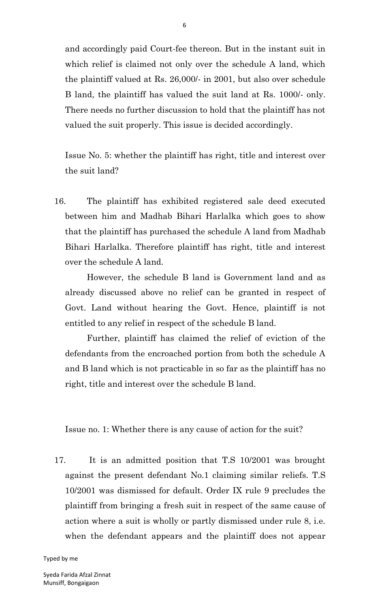and accordingly paid Court-fee thereon. But in the instant suit in which relief is claimed not only over the schedule A land, which the plaintiff valued at Rs. 26,000/- in 2001, but also over schedule B land, the plaintiff has valued the suit land at Rs. 1000/- only. There needs no further discussion to hold that the plaintiff has not valued the suit properly. This issue is decided accordingly.

Issue No. 5: whether the plaintiff has right, title and interest over the suit land?

16. The plaintiff has exhibited registered sale deed executed between him and Madhab Bihari Harlalka which goes to show that the plaintiff has purchased the schedule A land from Madhab Bihari Harlalka. Therefore plaintiff has right, title and interest over the schedule A land.

However, the schedule B land is Government land and as already discussed above no relief can be granted in respect of Govt. Land without hearing the Govt. Hence, plaintiff is not entitled to any relief in respect of the schedule B land.

Further, plaintiff has claimed the relief of eviction of the defendants from the encroached portion from both the schedule A and B land which is not practicable in so far as the plaintiff has no right, title and interest over the schedule B land.

Issue no. 1: Whether there is any cause of action for the suit?

17. It is an admitted position that T.S 10/2001 was brought against the present defendant No.1 claiming similar reliefs. T.S 10/2001 was dismissed for default. Order IX rule 9 precludes the plaintiff from bringing a fresh suit in respect of the same cause of action where a suit is wholly or partly dismissed under rule 8, i.e. when the defendant appears and the plaintiff does not appear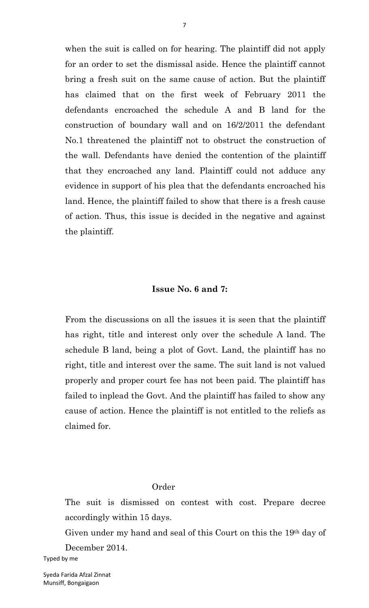when the suit is called on for hearing. The plaintiff did not apply for an order to set the dismissal aside. Hence the plaintiff cannot bring a fresh suit on the same cause of action. But the plaintiff has claimed that on the first week of February 2011 the defendants encroached the schedule A and B land for the construction of boundary wall and on 16/2/2011 the defendant No.1 threatened the plaintiff not to obstruct the construction of the wall. Defendants have denied the contention of the plaintiff that they encroached any land. Plaintiff could not adduce any evidence in support of his plea that the defendants encroached his land. Hence, the plaintiff failed to show that there is a fresh cause of action. Thus, this issue is decided in the negative and against the plaintiff.

#### **Issue No. 6 and 7:**

From the discussions on all the issues it is seen that the plaintiff has right, title and interest only over the schedule A land. The schedule B land, being a plot of Govt. Land, the plaintiff has no right, title and interest over the same. The suit land is not valued properly and proper court fee has not been paid. The plaintiff has failed to inplead the Govt. And the plaintiff has failed to show any cause of action. Hence the plaintiff is not entitled to the reliefs as claimed for.

#### Order

The suit is dismissed on contest with cost. Prepare decree accordingly within 15 days.

Given under my hand and seal of this Court on this the 19th day of December 2014.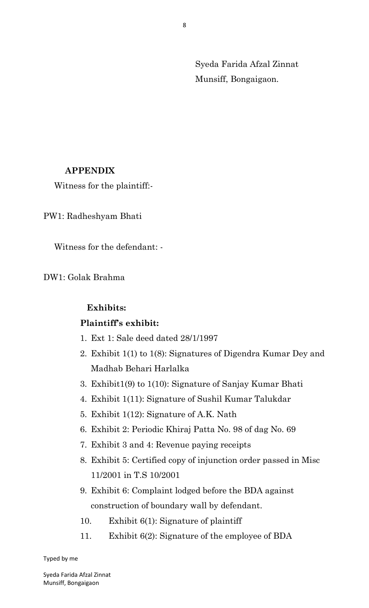Syeda Farida Afzal Zinnat Munsiff, Bongaigaon.

## **APPENDIX**

Witness for the plaintiff:-

PW1: Radheshyam Bhati

Witness for the defendant: -

DW1: Golak Brahma

## **Exhibits:**

## **Plaintiff's exhibit:**

- 1. Ext 1: Sale deed dated 28/1/1997
- 2. Exhibit 1(1) to 1(8): Signatures of Digendra Kumar Dey and Madhab Behari Harlalka
- 3. Exhibit1(9) to 1(10): Signature of Sanjay Kumar Bhati
- 4. Exhibit 1(11): Signature of Sushil Kumar Talukdar
- 5. Exhibit 1(12): Signature of A.K. Nath
- 6. Exhibit 2: Periodic Khiraj Patta No. 98 of dag No. 69
- 7. Exhibit 3 and 4: Revenue paying receipts
- 8. Exhibit 5: Certified copy of injunction order passed in Misc 11/2001 in T.S 10/2001
- 9. Exhibit 6: Complaint lodged before the BDA against construction of boundary wall by defendant.
- 10. Exhibit 6(1): Signature of plaintiff
- 11. Exhibit 6(2): Signature of the employee of BDA